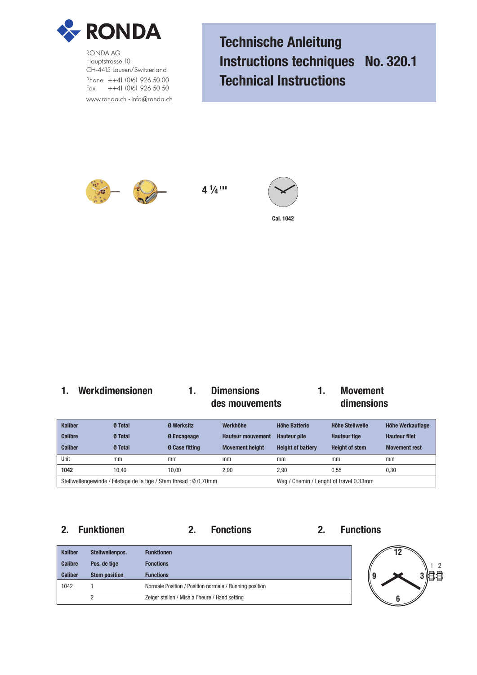

RONDA AG Hauptstrasse 10 CH-4415 Lausen/Switzerland Phone ++41 (0)61 926 50 00 Fax ++41 (0)61 926 50 50 www.ronda.ch • info@ronda.ch **Technische Anleitung Instructions techniques No. 320.1 Technical Instructions**



**4 1 ⁄4 '''**



## **1. Werkdimensionen 1. Dimensions 1. Movement des mouvements dimensions**

| <b>Kaliber</b> | <b>Ø</b> Total | <b>Ø</b> Werksitz                                                 | Werkhöhe                               | Höhe Batterie            | Höhe Stellwelle       | Höhe Werkauflage     |
|----------------|----------------|-------------------------------------------------------------------|----------------------------------------|--------------------------|-----------------------|----------------------|
| <b>Calibre</b> | <b>Ø</b> Total | <b>Ø</b> Encageage                                                | <b>Hauteur mouvement</b>               | <b>Hauteur pile</b>      | <b>Hauteur tige</b>   | <b>Hauteur filet</b> |
| <b>Caliber</b> | <b>Ø</b> Total | <b>0 Case fitting</b>                                             | <b>Movement height</b>                 | <b>Height of battery</b> | <b>Height of stem</b> | <b>Movement rest</b> |
| Unit           | mm             | mm                                                                | mm                                     | mm                       | mm                    | mm                   |
| 1042           | 10.40          | 10.00                                                             | 2.90                                   | 2.90                     | 0.55                  | 0,30                 |
|                |                | Stellwellengewinde / Filetage de la tige / Stem thread : Ø 0,70mm | Weg / Chemin / Lenght of travel 0.33mm |                          |                       |                      |

## **2. Funktionen 2. Fonctions 2. Functions**



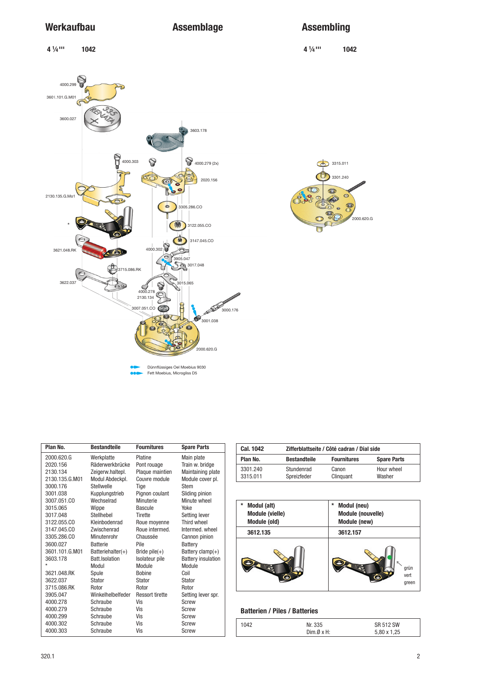# Werkaufbau **Assemblage** Assembling

**⁄4 ''' 1042**

 **4 1 ⁄4 ''' 1042 4 1**  $4000.299$ 3601.101.G.M01 3600.027 3603.178  $\frac{1}{2}$  4000.279 (2x) SO O.  $\widetilde{C}$ 60 R 2130.135.G.Mo1 286.CO ।<br>3122.055.CO  $\rightarrow$ 3147.045.CO  $\frac{1}{4000.302}$ Ľ  $\sum$  3017.048 3715.086.RK  $\left( \epsilon \right)$ 3622.037 301 - 1<br>301 - 1 2130.134 D  $\overline{17.051}$   $\overline{0}$ 。<br>3000.176 3007.051.CO 3001.038 ,<br>2000.620.G

Dünnflüssiges Oel Moebius 9030 Fett Moebius, Microgliss D5

| 3315.011<br>Cd                          |
|-----------------------------------------|
| 3301.240                                |
| Θ<br>$\ddot{\phantom{0}}$<br>2000.620.G |

| Plan No.       | <b>Bestandteile</b>  | <b>Fournitures</b>     | <b>Spare Parts</b>        |  |
|----------------|----------------------|------------------------|---------------------------|--|
| 2000.620.G     | Werkplatte           | Platine                | Main plate                |  |
| 2020.156       | Räderwerkbrücke      | Pont rouage            | Train w. bridge           |  |
| 2130.134       | Zeigerw.haltepl.     | Plaque maintien        | Maintaining plate         |  |
| 2130.135.G.M01 | Modul Abdeckpl.      | Couvre module          | Module cover pl.          |  |
| 3000.176       | Stellwelle           | Tige                   | Stem                      |  |
| 3001.038       | Kupplungstrieb       | Pignon coulant         | Sliding pinion            |  |
| 3007.051.CO    | Wechselrad           | Minuterie              | Minute wheel              |  |
| 3015.065       | Wippe                | Bascule                | Yoke                      |  |
| 3017.048       | Stellhebel           | Tirette                | Setting lever             |  |
| 3122.055.CO    | Kleinbodenrad        | Roue moyenne           | Third wheel               |  |
| 3147.045.CO    | Zwischenrad          | Roue intermed.         | Intermed. wheel           |  |
| 3305.286.CO    | Minutenrohr          | Chaussée               | Cannon pinion             |  |
| 3600.027       | <b>Batterie</b>      | Pile                   | Battery                   |  |
| 3601.101.G.M01 | Batteriehalter $(+)$ | Bride pile $(+)$       | Battery clamp $(+)$       |  |
| 3603.178       | Batt. Isolation      | Isolateur pile         | <b>Battery insulation</b> |  |
| $\star$        | Modul                | Module                 | Module                    |  |
| 3621.048.RK    | Spule                | <b>Bobine</b>          | Coil                      |  |
| 3622.037       | Stator               | <b>Stator</b>          | <b>Stator</b>             |  |
| 3715.086.RK    | Rotor                | Rotor                  | Rotor                     |  |
| 3905.047       | Winkelhelbelfeder    | <b>Ressort tirette</b> | Setting lever spr.        |  |
| 4000.278       | Schraube             | Vis                    | Screw                     |  |
| 4000.279       | Schraube             | Vis                    | Screw                     |  |
| 4000.299       | Schraube             | Vis                    | Screw                     |  |
| 4000.302       | Schraube             | Vis                    | <b>Screw</b>              |  |
| 4000.303       | Schraube             | Vis                    | <b>Screw</b>              |  |

| Cal. 1042            | Zifferblattseite / Côté cadran / Dial side |                    |                      |  |  |  |  |
|----------------------|--------------------------------------------|--------------------|----------------------|--|--|--|--|
| Plan No.             | <b>Bestandteile</b>                        | <b>Fournitures</b> | <b>Spare Parts</b>   |  |  |  |  |
| 3301.240<br>3315.011 | Stundenrad<br>Spreizfeder                  | Canon<br>Clinguant | Hour wheel<br>Washer |  |  |  |  |

| *<br>Modul (alt)       | *<br>Modul (neu)         |
|------------------------|--------------------------|
| <b>Module (vielle)</b> | <b>Module (nouvelle)</b> |
| Module (old)           | Module (new)             |
| 3612.135               | 3612.157                 |
|                        | grün<br>vert<br>green    |

## **Batterien / Piles / Batteries**

| 1042 | Nr. 335  | SR 512 SW   |
|------|----------|-------------|
|      | Dim.ØxH: | 5.80 x 1.25 |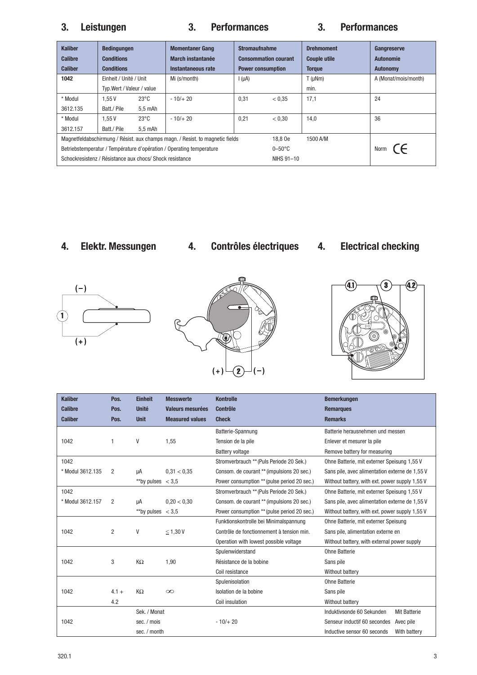# **3. Leistungen 3. Performances 3. Performances**

| <b>Kaliber</b><br><b>Calibre</b><br><b>Caliber</b>                            | <b>Bedingungen</b><br><b>Conditions</b><br><b>Conditions</b> |                    | <b>Stromaufnahme</b><br><b>Momentaner Gang</b><br>March instantanée<br><b>Consommation courant</b><br>Instantaneous rate<br><b>Power consumption</b> |            |           | <b>Drehmoment</b><br><b>Couple utile</b><br><b>Torque</b> | Gangreserve<br><b>Autonomie</b><br><b>Autonomy</b> |
|-------------------------------------------------------------------------------|--------------------------------------------------------------|--------------------|------------------------------------------------------------------------------------------------------------------------------------------------------|------------|-----------|-----------------------------------------------------------|----------------------------------------------------|
| 1042                                                                          | Einheit / Unité / Unit                                       |                    | Mi (s/month)                                                                                                                                         | $I(\mu A)$ |           | $T(\mu Nm)$                                               | A (Monat/mois/month)                               |
|                                                                               | Typ. Wert / Valeur / value                                   |                    |                                                                                                                                                      |            |           | min.                                                      |                                                    |
| * Modul                                                                       | 1.55V                                                        | $23^{\circ}$ C     | $-10/+20$                                                                                                                                            | 0.31       | < 0.35    | 17,1                                                      | 24                                                 |
| 3612.135                                                                      | Batt./ Pile                                                  | 5,5 mAh            |                                                                                                                                                      |            |           |                                                           |                                                    |
| * Modul                                                                       | 1.55V                                                        | $23^{\circ}$ C     | $-10/+20$                                                                                                                                            | 0,21       | < 0.30    | 14,0                                                      | 36                                                 |
| 3612.157                                                                      | Batt./ Pile                                                  | $5.5 \text{ mA}$ h |                                                                                                                                                      |            |           |                                                           |                                                    |
| Magnetfeldabschirmung / Résist. aux champs magn. / Resist. to magnetic fields |                                                              |                    |                                                                                                                                                      |            |           | 1500 A/M                                                  |                                                    |
| Betriebstemperatur / Température d'opération / Operating temperature          |                                                              |                    |                                                                                                                                                      |            | $0-50$ °C |                                                           | Norm $\epsilon$                                    |
| Schockresistenz / Résistance aux chocs/ Shock resistance                      |                                                              |                    |                                                                                                                                                      |            |           |                                                           |                                                    |

- **4. Elektr. Messungen 4. Contrôles électriques 4. Electrical checking**
	-







| <b>Kaliber</b>   | Pos.    | <b>Einheit</b>      | <b>Messwerte</b>        | <b>Kontrolle</b>                            | <b>Bemerkungen</b>                               |  |
|------------------|---------|---------------------|-------------------------|---------------------------------------------|--------------------------------------------------|--|
| <b>Calibre</b>   | Pos.    | <b>Unité</b>        | <b>Valeurs mesurées</b> | <b>Contrôle</b>                             | <b>Remarques</b>                                 |  |
| <b>Caliber</b>   | Pos.    | <b>Unit</b>         | <b>Measured values</b>  | <b>Check</b>                                | <b>Remarks</b>                                   |  |
|                  |         |                     |                         | Batterie-Spannung                           | Batterie herausnehmen und messen                 |  |
| 1042             | 1       | V                   | 1,55                    | Tension de la pile                          | Enlever et mesurer la pile                       |  |
|                  |         |                     |                         | <b>Battery voltage</b>                      | Remove battery for measuring                     |  |
| 1042             |         |                     |                         | Stromverbrauch ** (Puls Periode 20 Sek.)    | Ohne Batterie, mit externer Speisung 1,55 V      |  |
| * Modul 3612.135 | 2       | uA                  | 0.31 < 0.35             | Consom. de courant ** (impulsions 20 sec.)  | Sans pile, avec alimentation externe de 1,55 V   |  |
|                  |         | **by pulses $<$ 3.5 |                         | Power consumption ** (pulse period 20 sec.) | Without battery, with ext. power supply 1,55 V   |  |
| 1042             |         |                     |                         | Stromverbrauch ** (Puls Periode 20 Sek.)    | Ohne Batterie, mit externer Speisung 1,55 V      |  |
| * Modul 3612.157 | 2       | μA                  | 0,20 < 0,30             | Consom. de courant ** (impulsions 20 sec.)  | Sans pile, avec alimentation externe de 1,55 V   |  |
|                  |         | **by pulses $<$ 3,5 |                         | Power consumption ** (pulse period 20 sec.) | Without battery, with ext. power supply 1,55 V   |  |
|                  |         |                     |                         | Funktionskontrolle bei Minimalspannung      | Ohne Batterie, mit externer Speisung             |  |
| 1042             | 2       | V                   | $\leq$ 1,30 V           | Contrôle de fonctionnement à tension min.   | Sans pile, alimentation externe en               |  |
|                  |         |                     |                         | Operation with lowest possible voltage      | Without battery, with external power supply      |  |
|                  |         |                     |                         | Spulenwiderstand                            | Ohne Batterie                                    |  |
| 1042             | 3       | KΩ                  | 1,90                    | Résistance de la bobine                     | Sans pile                                        |  |
|                  |         |                     |                         | Coil resistance                             | Without battery                                  |  |
|                  |         |                     |                         | Spulenisolation                             | <b>Ohne Batterie</b>                             |  |
| 1042             | $4.1 +$ | KΩ                  | $\infty$                | Isolation de la bobine                      | Sans pile                                        |  |
|                  | 4.2     |                     |                         | Coil insulation                             | Without battery                                  |  |
|                  |         | Sek. / Monat        |                         |                                             | Induktivsonde 60 Sekunden<br><b>Mit Batterie</b> |  |
| 1042             |         | sec. / mois         |                         | $-10/+20$                                   | Senseur inductif 60 secondes<br>Avec pile        |  |
|                  |         | sec. / month        |                         |                                             | Inductive sensor 60 seconds<br>With battery      |  |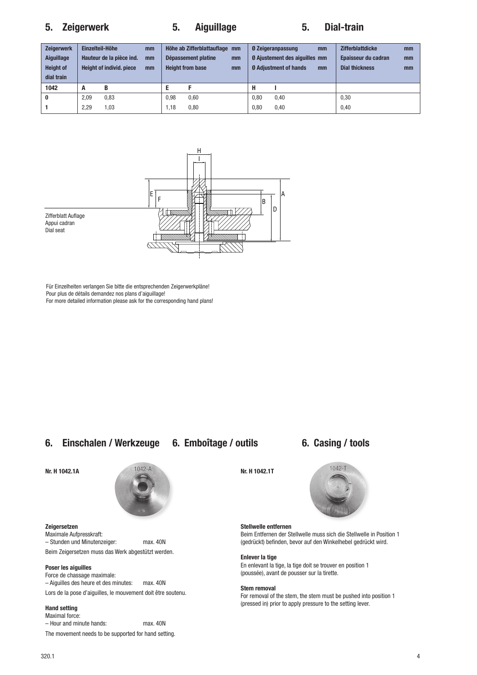# **5. Zeigerwerk 5. Aiguillage 5. Dial-train**

| <b>Zeigerwerk</b><br>Aiguillage<br><b>Height of</b><br>dial train | Einzelteil-Höhe | Hauteur de la pièce ind.<br><b>Height of individ. piece</b> | mm<br>mm<br>mm |      | Höhe ab Zifferblattauflage mm<br>Dépassement platine<br><b>Height from base</b> | mm<br>mm |      | <b>Ø Zeigeranpassung</b><br><b>Ø Ajustement des aiguilles mm</b><br><b>Ø Adiustment of hands</b> | mm<br>mm | <b>Zifferblattdicke</b><br>Epaisseur du cadran<br><b>Dial thickness</b> | mm<br>mm<br>mm |
|-------------------------------------------------------------------|-----------------|-------------------------------------------------------------|----------------|------|---------------------------------------------------------------------------------|----------|------|--------------------------------------------------------------------------------------------------|----------|-------------------------------------------------------------------------|----------------|
| 1042                                                              | A               | B                                                           |                |      |                                                                                 |          | н    |                                                                                                  |          |                                                                         |                |
| $\bf{0}$                                                          | 2,09            | 0,83                                                        |                | 0.98 | 0.60                                                                            |          | 0.80 | 0.40                                                                                             |          | 0,30                                                                    |                |
|                                                                   | 2.29            | .03                                                         |                | 1.18 | 0.80                                                                            |          | 0.80 | 0.40                                                                                             |          | 0.40                                                                    |                |



Für Einzelheiten verlangen Sie bitte die entsprechenden Zeigerwerkpläne!

Pour plus de détails demandez nos plans d'aiguillage!

For more detailed information please ask for the corresponding hand plans!

## **6. Einschalen / Werkzeuge 6. Emboîtage / outils 6. Casing / tools**



### **Zeigersetzen**

Maximale Aufpresskraft: – Stunden und Minutenzeiger: max. 40N Beim Zeigersetzen muss das Werk abgestützt werden.

## **Poser les aiguilles**

Force de chassage maximale: – Aiguilles des heure et des minutes: max. 40N Lors de la pose d'aiguilles, le mouvement doit être soutenu.

## **Hand setting**

Maximal force: – Hour and minute hands: max. 40N The movement needs to be supported for hand setting.



## **Stellwelle entfernen**

Beim Entfernen der Stellwelle muss sich die Stellwelle in Position 1 (gedrückt) befinden, bevor auf den Winkelhebel gedrückt wird.

## **Enlever la tige**

En enlevant la tige, la tige doit se trouver en position 1 (poussée), avant de pousser sur la tirette.

### **Stem removal**

For removal of the stem, the stem must be pushed into position 1 (pressed in) prior to apply pressure to the setting lever.